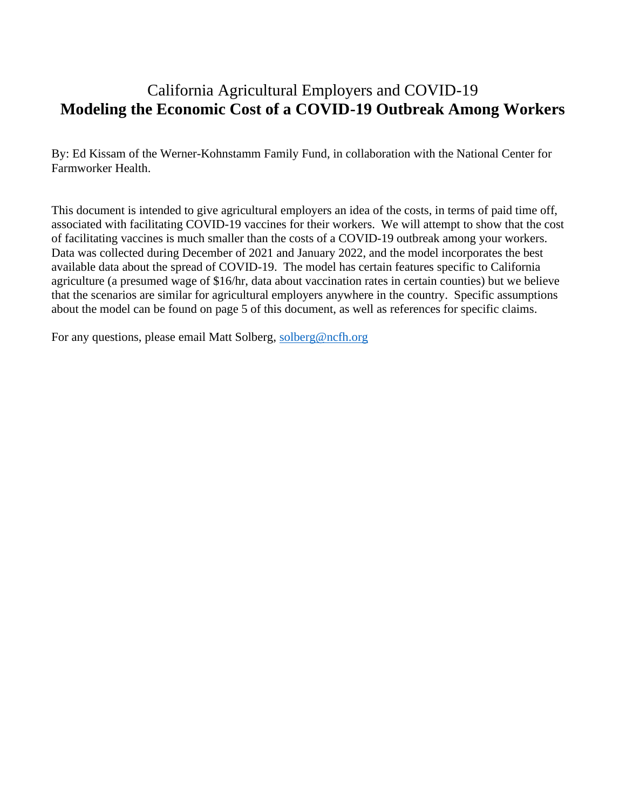#### California Agricultural Employers and COVID-19 **Modeling the Economic Cost of a COVID-19 Outbreak Among Workers**

By: Ed Kissam of the Werner-Kohnstamm Family Fund, in collaboration with the National Center for Farmworker Health.

This document is intended to give agricultural employers an idea of the costs, in terms of paid time off, associated with facilitating COVID-19 vaccines for their workers. We will attempt to show that the cost of facilitating vaccines is much smaller than the costs of a COVID-19 outbreak among your workers. Data was collected during December of 2021 and January 2022, and the model incorporates the best available data about the spread of COVID-19. The model has certain features specific to California agriculture (a presumed wage of \$16/hr, data about vaccination rates in certain counties) but we believe that the scenarios are similar for agricultural employers anywhere in the country. Specific assumptions about the model can be found on page 5 of this document, as well as references for specific claims.

For any questions, please email Matt Solberg, [solberg@ncfh.org](mailto:solberg@ncfh.org)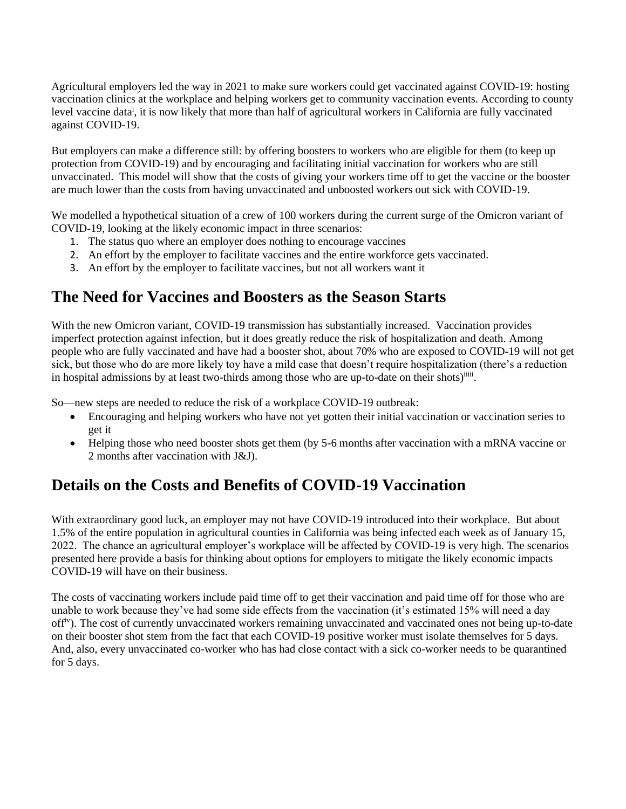Agricultural employers led the way in 2021 to make sure workers could get vaccinated against COVID-19: hosting vaccination clinics at the workplace and helping workers get to community vaccination events. According to county level vaccine data<sup>i</sup>, it is now likely that more than half of agricultural workers in California are fully vaccinated against COVID-19.

But employers can make a difference still: by offering boosters to workers who are eligible for them (to keep up protection from COVID-19) and by encouraging and facilitating initial vaccination for workers who are still unvaccinated. This model will show that the costs of giving your workers time off to get the vaccine or the booster are much lower than the costs from having unvaccinated and unboosted workers out sick with COVID-19.

We modelled a hypothetical situation of a crew of 100 workers during the current surge of the Omicron variant of COVID-19, looking at the likely economic impact in three scenarios:

- 1. The status quo where an employer does nothing to encourage vaccines
- 2. An effort by the employer to facilitate vaccines and the entire workforce gets vaccinated.
- 3. An effort by the employer to facilitate vaccines, but not all workers want it

#### **The Need for Vaccines and Boosters as the Season Starts**

With the new Omicron variant, COVID-19 transmission has substantially increased. Vaccination provides imperfect protection against infection, but it does greatly reduce the risk of hospitalization and death. Among people who are fully vaccinated and have had a booster shot, about 70% who are exposed to COVID-19 will not get sick, but those who do are more likely toy have a mild case that doesn't require hospitalization (there's a reduction in hospital admissions by at least two-thirds among those who are up-to-date on their shots)<sup>iiii</sup>.

So—new steps are needed to reduce the risk of a workplace COVID-19 outbreak:

- Encouraging and helping workers who have not yet gotten their initial vaccination or vaccination series to get it
- Helping those who need booster shots get them (by 5-6 months after vaccination with a mRNA vaccine or 2 months after vaccination with J&J).

### **Details on the Costs and Benefits of COVID-19 Vaccination**

With extraordinary good luck, an employer may not have COVID-19 introduced into their workplace. But about 1.5% of the entire population in agricultural counties in California was being infected each week as of January 15, 2022. The chance an agricultural employer's workplace will be affected by COVID-19 is very high. The scenarios presented here provide a basis for thinking about options for employers to mitigate the likely economic impacts COVID-19 will have on their business.

The costs of vaccinating workers include paid time off to get their vaccination and paid time off for those who are unable to work because they've had some side effects from the vaccination (it's estimated 15% will need a day offiv). The cost of currently unvaccinated workers remaining unvaccinated and vaccinated ones not being up-to-date on their booster shot stem from the fact that each COVID-19 positive worker must isolate themselves for 5 days. And, also, every unvaccinated co-worker who has had close contact with a sick co-worker needs to be quarantined for 5 days.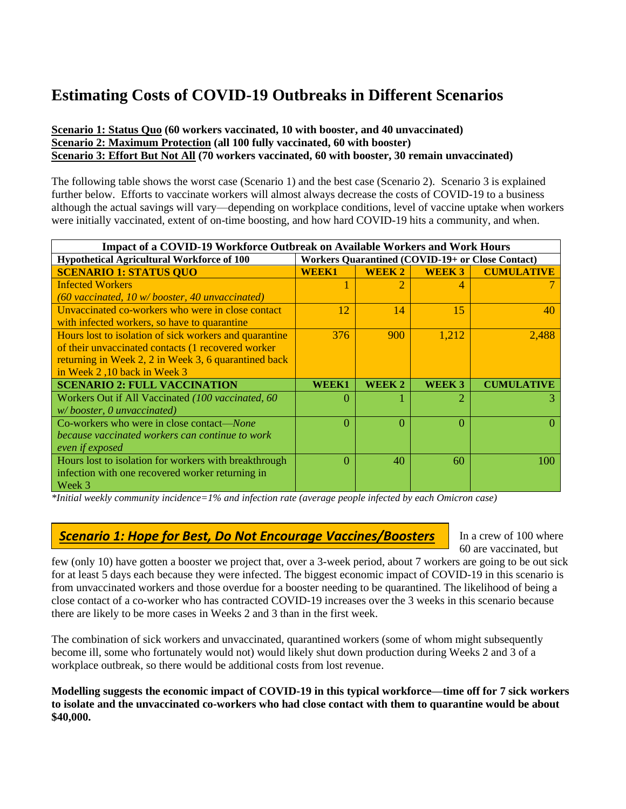## **Estimating Costs of COVID-19 Outbreaks in Different Scenarios**

#### **Scenario 1: Status Quo (60 workers vaccinated, 10 with booster, and 40 unvaccinated) Scenario 2: Maximum Protection (all 100 fully vaccinated, 60 with booster) Scenario 3: Effort But Not All (70 workers vaccinated, 60 with booster, 30 remain unvaccinated)**

The following table shows the worst case (Scenario 1) and the best case (Scenario 2). Scenario 3 is explained further below. Efforts to vaccinate workers will almost always decrease the costs of COVID-19 to a business although the actual savings will vary—depending on workplace conditions, level of vaccine uptake when workers were initially vaccinated, extent of on-time boosting, and how hard COVID-19 hits a community, and when.

| <b>Impact of a COVID-19 Workforce Outbreak on Available Workers and Work Hours</b> |                                                         |               |                   |                   |  |  |
|------------------------------------------------------------------------------------|---------------------------------------------------------|---------------|-------------------|-------------------|--|--|
| <b>Hypothetical Agricultural Workforce of 100</b>                                  | <b>Workers Quarantined (COVID-19+ or Close Contact)</b> |               |                   |                   |  |  |
| <b>SCENARIO 1: STATUS QUO</b>                                                      | <b>WEEK1</b>                                            | <b>WEEK 2</b> | <b>WEEK 3</b>     | <b>CUMULATIVE</b> |  |  |
| <b>Infected Workers</b>                                                            |                                                         |               | 4                 |                   |  |  |
| $(60$ vaccinated, 10 w/booster, 40 unvaccinated)                                   |                                                         |               |                   |                   |  |  |
| Unvaccinated co-workers who were in close contact                                  | 12                                                      | 14            | 15                | 40                |  |  |
| with infected workers, so have to quarantine                                       |                                                         |               |                   |                   |  |  |
| Hours lost to isolation of sick workers and quarantine                             | 376                                                     | 900           | 1,212             | 2,488             |  |  |
| of their unvaccinated contacts (1 recovered worker                                 |                                                         |               |                   |                   |  |  |
| returning in Week 2, 2 in Week 3, 6 quarantined back                               |                                                         |               |                   |                   |  |  |
| in Week 2,10 back in Week 3                                                        |                                                         |               |                   |                   |  |  |
| <b>SCENARIO 2: FULL VACCINATION</b>                                                | WEEK1                                                   | WEEK 2        | WEEK <sub>3</sub> | <b>CUMULATIVE</b> |  |  |
| Workers Out if All Vaccinated (100 vaccinated, 60                                  | $\Omega$                                                |               | 2.                |                   |  |  |
| $w/$ booster, 0 unvaccinated)                                                      |                                                         |               |                   |                   |  |  |
| Co-workers who were in close contact—None                                          | 0                                                       | 0             | 0                 |                   |  |  |
| because vaccinated workers can continue to work                                    |                                                         |               |                   |                   |  |  |
| even if exposed                                                                    |                                                         |               |                   |                   |  |  |
| Hours lost to isolation for workers with breakthrough                              | $\Omega$                                                | 40            | 60                | 100               |  |  |
| infection with one recovered worker returning in                                   |                                                         |               |                   |                   |  |  |
| Week 3                                                                             |                                                         |               |                   |                   |  |  |

*\*Initial weekly community incidence=1% and infection rate (average people infected by each Omicron case)* 

#### *Scenario 1: Hope for Best, Do Not Encourage Vaccines/Boosters*

In a crew of 100 where 60 are vaccinated, but

few (only 10) have gotten a booster we project that, over a 3-week period, about 7 workers are going to be out sick for at least 5 days each because they were infected. The biggest economic impact of COVID-19 in this scenario is from unvaccinated workers and those overdue for a booster needing to be quarantined. The likelihood of being a close contact of a co-worker who has contracted COVID-19 increases over the 3 weeks in this scenario because there are likely to be more cases in Weeks 2 and 3 than in the first week.

The combination of sick workers and unvaccinated, quarantined workers (some of whom might subsequently become ill, some who fortunately would not) would likely shut down production during Weeks 2 and 3 of a workplace outbreak, so there would be additional costs from lost revenue.

**Modelling suggests the economic impact of COVID-19 in this typical workforce—time off for 7 sick workers to isolate and the unvaccinated co-workers who had close contact with them to quarantine would be about \$40,000.**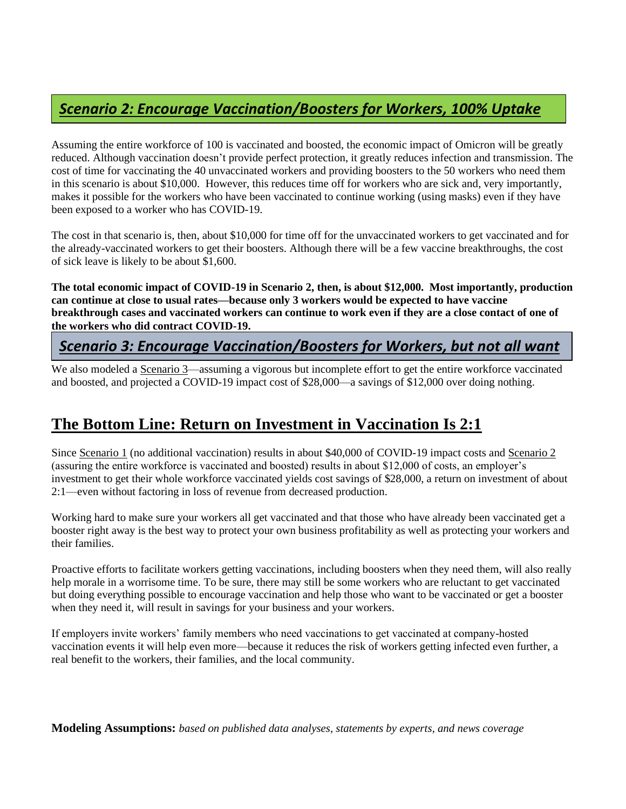#### *Scenario 2: Encourage Vaccination/Boosters for Workers, 100% Uptake*

Assuming the entire workforce of 100 is vaccinated and boosted, the economic impact of Omicron will be greatly reduced. Although vaccination doesn't provide perfect protection, it greatly reduces infection and transmission. The cost of time for vaccinating the 40 unvaccinated workers and providing boosters to the 50 workers who need them in this scenario is about \$10,000. However, this reduces time off for workers who are sick and, very importantly, makes it possible for the workers who have been vaccinated to continue working (using masks) even if they have been exposed to a worker who has COVID-19.

The cost in that scenario is, then, about \$10,000 for time off for the unvaccinated workers to get vaccinated and for the already-vaccinated workers to get their boosters. Although there will be a few vaccine breakthroughs, the cost of sick leave is likely to be about \$1,600.

**The total economic impact of COVID-19 in Scenario 2, then, is about \$12,000. Most importantly, production can continue at close to usual rates—because only 3 workers would be expected to have vaccine breakthrough cases and vaccinated workers can continue to work even if they are a close contact of one of the workers who did contract COVID-19.**

#### *Scenario 3: Encourage Vaccination/Boosters for Workers, but not all want*

We also modeled a <u>Scenario 3</u>—assuming a vigorous but incomplete effort to get the entire workforce vaccinated and boosted, and projected a COVID-19 impact cost of \$28,000—a savings of \$12,000 over doing nothing.

### **The Bottom Line: Return on Investment in Vaccination Is 2:1**

Since Scenario 1 (no additional vaccination) results in about \$40,000 of COVID-19 impact costs and Scenario 2 (assuring the entire workforce is vaccinated and boosted) results in about \$12,000 of costs, an employer's investment to get their whole workforce vaccinated yields cost savings of \$28,000, a return on investment of about 2:1—even without factoring in loss of revenue from decreased production.

Working hard to make sure your workers all get vaccinated and that those who have already been vaccinated get a booster right away is the best way to protect your own business profitability as well as protecting your workers and their families.

Proactive efforts to facilitate workers getting vaccinations, including boosters when they need them, will also really help morale in a worrisome time. To be sure, there may still be some workers who are reluctant to get vaccinated but doing everything possible to encourage vaccination and help those who want to be vaccinated or get a booster when they need it, will result in savings for your business and your workers.

If employers invite workers' family members who need vaccinations to get vaccinated at company-hosted vaccination events it will help even more—because it reduces the risk of workers getting infected even further, a real benefit to the workers, their families, and the local community.

**Modeling Assumptions:** *based on published data analyses, statements by experts, and news coverage*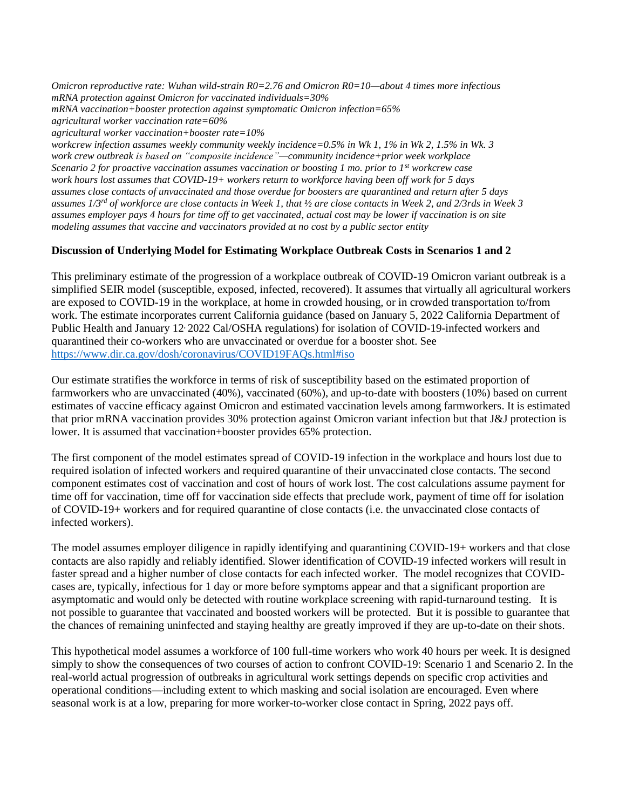*Omicron reproductive rate: Wuhan wild-strain R0=2.76 and Omicron R0=10—about 4 times more infectious mRNA protection against Omicron for vaccinated individuals=30% mRNA vaccination+booster protection against symptomatic Omicron infection=65% agricultural worker vaccination rate=60% agricultural worker vaccination+booster rate=10%*

*workcrew infection assumes weekly community weekly incidence=0.5% in Wk 1, 1% in Wk 2, 1.5% in Wk. 3 work crew outbreak is based on "composite incidence"—community incidence+prior week workplace Scenario 2 for proactive vaccination assumes vaccination or boosting 1 mo. prior to 1st workcrew case work hours lost assumes that COVID-19+ workers return to workforce having been off work for 5 days assumes close contacts of unvaccinated and those overdue for boosters are quarantined and return after 5 days assumes 1/3rd of workforce are close contacts in Week 1, that ½ are close contacts in Week 2, and 2/3rds in Week 3 assumes employer pays 4 hours for time off to get vaccinated, actual cost may be lower if vaccination is on site modeling assumes that vaccine and vaccinators provided at no cost by a public sector entity*

#### **Discussion of Underlying Model for Estimating Workplace Outbreak Costs in Scenarios 1 and 2**

This preliminary estimate of the progression of a workplace outbreak of COVID-19 Omicron variant outbreak is a simplified SEIR model (susceptible, exposed, infected, recovered). It assumes that virtually all agricultural workers are exposed to COVID-19 in the workplace, at home in crowded housing, or in crowded transportation to/from work. The estimate incorporates current California guidance (based on January 5, 2022 California Department of Public Health and January 12 2022 Cal/OSHA regulations) for isolation of COVID-19-infected workers and quarantined their co-workers who are unvaccinated or overdue for a booster shot. See <https://www.dir.ca.gov/dosh/coronavirus/COVID19FAQs.html#iso>

Our estimate stratifies the workforce in terms of risk of susceptibility based on the estimated proportion of farmworkers who are unvaccinated (40%), vaccinated (60%), and up-to-date with boosters (10%) based on current estimates of vaccine efficacy against Omicron and estimated vaccination levels among farmworkers. It is estimated that prior mRNA vaccination provides 30% protection against Omicron variant infection but that J&J protection is lower. It is assumed that vaccination+booster provides 65% protection.

The first component of the model estimates spread of COVID-19 infection in the workplace and hours lost due to required isolation of infected workers and required quarantine of their unvaccinated close contacts. The second component estimates cost of vaccination and cost of hours of work lost. The cost calculations assume payment for time off for vaccination, time off for vaccination side effects that preclude work, payment of time off for isolation of COVID-19+ workers and for required quarantine of close contacts (i.e. the unvaccinated close contacts of infected workers).

The model assumes employer diligence in rapidly identifying and quarantining COVID-19+ workers and that close contacts are also rapidly and reliably identified. Slower identification of COVID-19 infected workers will result in faster spread and a higher number of close contacts for each infected worker. The model recognizes that COVIDcases are, typically, infectious for 1 day or more before symptoms appear and that a significant proportion are asymptomatic and would only be detected with routine workplace screening with rapid-turnaround testing. It is not possible to guarantee that vaccinated and boosted workers will be protected. But it is possible to guarantee that the chances of remaining uninfected and staying healthy are greatly improved if they are up-to-date on their shots.

This hypothetical model assumes a workforce of 100 full-time workers who work 40 hours per week. It is designed simply to show the consequences of two courses of action to confront COVID-19: Scenario 1 and Scenario 2. In the real-world actual progression of outbreaks in agricultural work settings depends on specific crop activities and operational conditions—including extent to which masking and social isolation are encouraged. Even where seasonal work is at a low, preparing for more worker-to-worker close contact in Spring, 2022 pays off.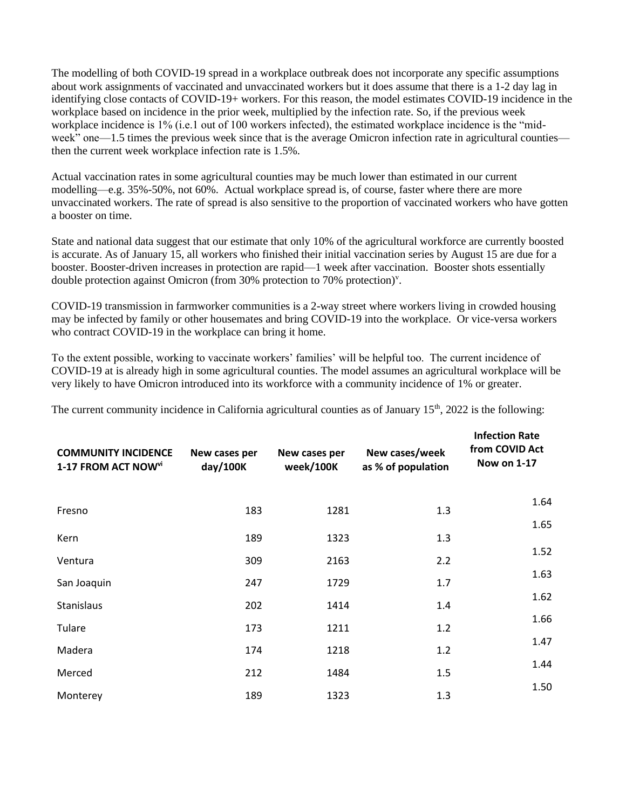The modelling of both COVID-19 spread in a workplace outbreak does not incorporate any specific assumptions about work assignments of vaccinated and unvaccinated workers but it does assume that there is a 1-2 day lag in identifying close contacts of COVID-19+ workers. For this reason, the model estimates COVID-19 incidence in the workplace based on incidence in the prior week, multiplied by the infection rate. So, if the previous week workplace incidence is 1% (i.e.1 out of 100 workers infected), the estimated workplace incidence is the "midweek" one—1.5 times the previous week since that is the average Omicron infection rate in agricultural counties then the current week workplace infection rate is 1.5%.

Actual vaccination rates in some agricultural counties may be much lower than estimated in our current modelling—e.g. 35%-50%, not 60%. Actual workplace spread is, of course, faster where there are more unvaccinated workers. The rate of spread is also sensitive to the proportion of vaccinated workers who have gotten a booster on time.

State and national data suggest that our estimate that only 10% of the agricultural workforce are currently boosted is accurate. As of January 15, all workers who finished their initial vaccination series by August 15 are due for a booster. Booster-driven increases in protection are rapid—1 week after vaccination. Booster shots essentially double protection against Omicron (from 30% protection to 70% protection)<sup>v</sup>.

COVID-19 transmission in farmworker communities is a 2-way street where workers living in crowded housing may be infected by family or other housemates and bring COVID-19 into the workplace. Or vice-versa workers who contract COVID-19 in the workplace can bring it home.

To the extent possible, working to vaccinate workers' families' will be helpful too. The current incidence of COVID-19 at is already high in some agricultural counties. The model assumes an agricultural workplace will be very likely to have Omicron introduced into its workforce with a community incidence of 1% or greater.

The current community incidence in California agricultural counties as of January  $15<sup>th</sup>$ , 2022 is the following:

| <b>COMMUNITY INCIDENCE</b><br>1-17 FROM ACT NOW <sup>vi</sup> | New cases per<br>day/100K | New cases per<br>week/100K | New cases/week<br>as % of population | <b>Infection Rate</b><br>from COVID Act<br>Now on 1-17 |
|---------------------------------------------------------------|---------------------------|----------------------------|--------------------------------------|--------------------------------------------------------|
| Fresno                                                        | 183                       | 1281                       | 1.3                                  | 1.64                                                   |
| Kern                                                          | 189                       | 1323                       | 1.3                                  | 1.65                                                   |
| Ventura                                                       | 309                       | 2163                       | 2.2                                  | 1.52                                                   |
| San Joaquin                                                   | 247                       | 1729                       | 1.7                                  | 1.63                                                   |
| Stanislaus                                                    | 202                       | 1414                       | 1.4                                  | 1.62                                                   |
| Tulare                                                        | 173                       | 1211                       | 1.2                                  | 1.66                                                   |
| Madera                                                        | 174                       | 1218                       | 1.2                                  | 1.47                                                   |
| Merced                                                        | 212                       | 1484                       | 1.5                                  | 1.44                                                   |
| Monterey                                                      | 189                       | 1323                       | 1.3                                  | 1.50                                                   |